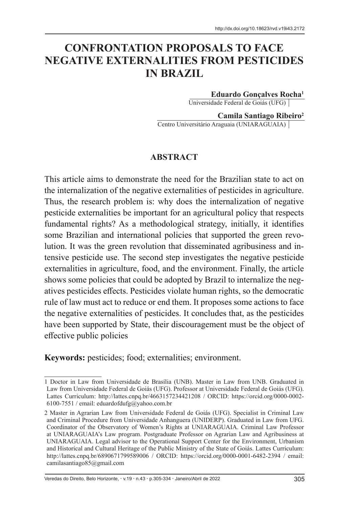# **CONFRONTATION PROPOSALS TO FACE NEGATIVE EXTERNALITIES FROM PESTICIDES IN BRAZIL**

**Eduardo Gonçalves Rocha1**

Universidade Federal de Goiás (UFG)

**Camila Santiago Ribeiro2**

Centro Universitário Araguaia (UNIARAGUAIA)

#### **ABSTRACT**

This article aims to demonstrate the need for the Brazilian state to act on the internalization of the negative externalities of pesticides in agriculture. Thus, the research problem is: why does the internalization of negative pesticide externalities be important for an agricultural policy that respects fundamental rights? As a methodological strategy, initially, it identifies some Brazilian and international policies that supported the green revolution. It was the green revolution that disseminated agribusiness and intensive pesticide use. The second step investigates the negative pesticide externalities in agriculture, food, and the environment. Finally, the article shows some policies that could be adopted by Brazil to internalize the negatives pesticides effects. Pesticides violate human rights, so the democratic rule of law must act to reduce or end them. It proposes some actions to face the negative externalities of pesticides. It concludes that, as the pesticides have been supported by State, their discouragement must be the object of effective public policies

**Keywords:** pesticides; food; externalities; environment.

Veredas do Direito, Belo Horizonte, v.19 n.43 p.305-334 Janeiro/Abril de 2022 305

<sup>1</sup> Doctor in Law from Universidade de Brasília (UNB). Master in Law from UNB. Graduated in Law from Universidade Federal de Goiás (UFG). Professor at Universidade Federal de Goiás (UFG). Lattes Curriculum: http://lattes.cnpq.br/4663157234421208 / ORCID: https://orcid.org/0000-0002- 6100-7551 / email: eduardofdufg@yahoo.com.br

<sup>2</sup> Master in Agrarian Law from Universidade Federal de Goiás (UFG). Specialist in Criminal Law and Criminal Procedure from Universidade Anhanguera (UNIDERP). Graduated in Law from UFG. Coordinator of the Observatory of Women's Rights at UNIARAGUAIA. Criminal Law Professor at UNIARAGUAIA's Law program. Postgraduate Professor on Agrarian Law and Agribusiness at UNIARAGUAIA. Legal advisor to the Operational Support Center for the Environment, Urbanism and Historical and Cultural Heritage of the Public Ministry of the State of Goiás. Lattes Curriculum: http://lattes.cnpq.br/6890671799589006 / ORCID: https://orcid.org/0000-0001-6482-2394 / email: camilasantiago85@gmail.com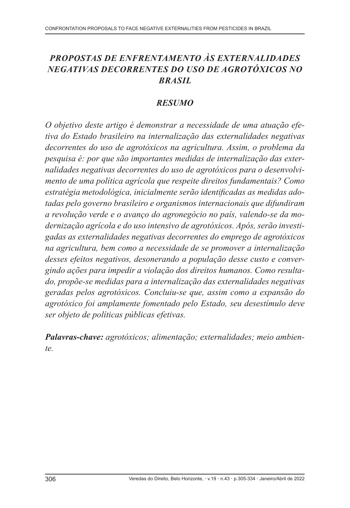# *PROPOSTAS DE ENFRENTAMENTO ÀS EXTERNALIDADES NEGATIVAS DECORRENTES DO USO DE AGROTÓXICOS NO BRASIL*

#### *RESUMO*

*O objetivo deste artigo é demonstrar a necessidade de uma atuação efetiva do Estado brasileiro na internalização das externalidades negativas decorrentes do uso de agrotóxicos na agricultura. Assim, o problema da pesquisa é: por que são importantes medidas de internalização das externalidades negativas decorrentes do uso de agrotóxicos para o desenvolvimento de uma política agrícola que respeite direitos fundamentais? Como estratégia metodológica, inicialmente serão identificadas as medidas adotadas pelo governo brasileiro e organismos internacionais que difundiram a revolução verde e o avanço do agronegócio no país, valendo-se da modernização agrícola e do uso intensivo de agrotóxicos. Após, serão investigadas as externalidades negativas decorrentes do emprego de agrotóxicos na agricultura, bem como a necessidade de se promover a internalização desses efeitos negativos, desonerando a população desse custo e convergindo ações para impedir a violação dos direitos humanos. Como resultado, propõe-se medidas para a internalização das externalidades negativas geradas pelos agrotóxicos. Concluiu-se que, assim como a expansão do agrotóxico foi amplamente fomentado pelo Estado, seu desestímulo deve ser objeto de políticas públicas efetivas.*

*Palavras-chave: agrotóxicos; alimentação; externalidades; meio ambiente.*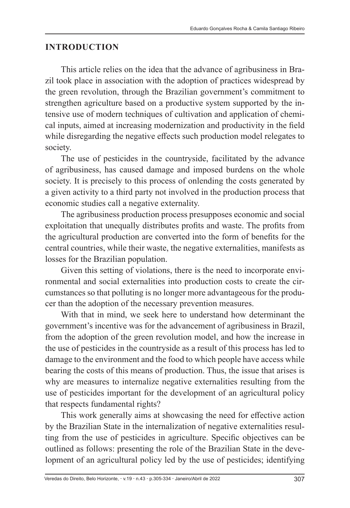#### **INTRODUCTION**

This article relies on the idea that the advance of agribusiness in Brazil took place in association with the adoption of practices widespread by the green revolution, through the Brazilian government's commitment to strengthen agriculture based on a productive system supported by the intensive use of modern techniques of cultivation and application of chemical inputs, aimed at increasing modernization and productivity in the field while disregarding the negative effects such production model relegates to society.

The use of pesticides in the countryside, facilitated by the advance of agribusiness, has caused damage and imposed burdens on the whole society. It is precisely to this process of onlending the costs generated by a given activity to a third party not involved in the production process that economic studies call a negative externality.

The agribusiness production process presupposes economic and social exploitation that unequally distributes profits and waste. The profits from the agricultural production are converted into the form of benefits for the central countries, while their waste, the negative externalities, manifests as losses for the Brazilian population.

Given this setting of violations, there is the need to incorporate environmental and social externalities into production costs to create the circumstances so that polluting is no longer more advantageous for the producer than the adoption of the necessary prevention measures.

With that in mind, we seek here to understand how determinant the government's incentive was for the advancement of agribusiness in Brazil, from the adoption of the green revolution model, and how the increase in the use of pesticides in the countryside as a result of this process has led to damage to the environment and the food to which people have access while bearing the costs of this means of production. Thus, the issue that arises is why are measures to internalize negative externalities resulting from the use of pesticides important for the development of an agricultural policy that respects fundamental rights?

This work generally aims at showcasing the need for effective action by the Brazilian State in the internalization of negative externalities resulting from the use of pesticides in agriculture. Specific objectives can be outlined as follows: presenting the role of the Brazilian State in the development of an agricultural policy led by the use of pesticides; identifying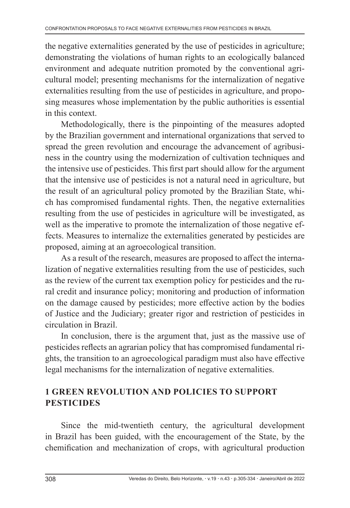the negative externalities generated by the use of pesticides in agriculture; demonstrating the violations of human rights to an ecologically balanced environment and adequate nutrition promoted by the conventional agricultural model; presenting mechanisms for the internalization of negative externalities resulting from the use of pesticides in agriculture, and proposing measures whose implementation by the public authorities is essential in this context.

Methodologically, there is the pinpointing of the measures adopted by the Brazilian government and international organizations that served to spread the green revolution and encourage the advancement of agribusiness in the country using the modernization of cultivation techniques and the intensive use of pesticides. This first part should allow for the argument that the intensive use of pesticides is not a natural need in agriculture, but the result of an agricultural policy promoted by the Brazilian State, which has compromised fundamental rights. Then, the negative externalities resulting from the use of pesticides in agriculture will be investigated, as well as the imperative to promote the internalization of those negative effects. Measures to internalize the externalities generated by pesticides are proposed, aiming at an agroecological transition.

As a result of the research, measures are proposed to affect the internalization of negative externalities resulting from the use of pesticides, such as the review of the current tax exemption policy for pesticides and the rural credit and insurance policy; monitoring and production of information on the damage caused by pesticides; more effective action by the bodies of Justice and the Judiciary; greater rigor and restriction of pesticides in circulation in Brazil.

In conclusion, there is the argument that, just as the massive use of pesticides reflects an agrarian policy that has compromised fundamental rights, the transition to an agroecological paradigm must also have effective legal mechanisms for the internalization of negative externalities.

## **1 GREEN REVOLUTION AND POLICIES TO SUPPORT PESTICIDES**

Since the mid-twentieth century, the agricultural development in Brazil has been guided, with the encouragement of the State, by the chemification and mechanization of crops, with agricultural production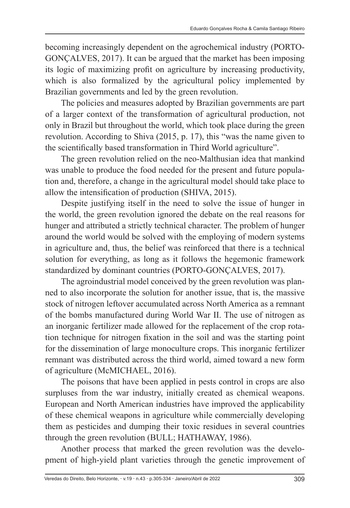becoming increasingly dependent on the agrochemical industry (PORTO-GONÇALVES, 2017). It can be argued that the market has been imposing its logic of maximizing profit on agriculture by increasing productivity, which is also formalized by the agricultural policy implemented by Brazilian governments and led by the green revolution.

The policies and measures adopted by Brazilian governments are part of a larger context of the transformation of agricultural production, not only in Brazil but throughout the world, which took place during the green revolution. According to Shiva (2015, p. 17), this "was the name given to the scientifically based transformation in Third World agriculture".

The green revolution relied on the neo-Malthusian idea that mankind was unable to produce the food needed for the present and future population and, therefore, a change in the agricultural model should take place to allow the intensification of production (SHIVA, 2015).

Despite justifying itself in the need to solve the issue of hunger in the world, the green revolution ignored the debate on the real reasons for hunger and attributed a strictly technical character. The problem of hunger around the world would be solved with the employing of modern systems in agriculture and, thus, the belief was reinforced that there is a technical solution for everything, as long as it follows the hegemonic framework standardized by dominant countries (PORTO-GONÇALVES, 2017).

The agroindustrial model conceived by the green revolution was planned to also incorporate the solution for another issue, that is, the massive stock of nitrogen leftover accumulated across North America as a remnant of the bombs manufactured during World War II. The use of nitrogen as an inorganic fertilizer made allowed for the replacement of the crop rotation technique for nitrogen fixation in the soil and was the starting point for the dissemination of large monoculture crops. This inorganic fertilizer remnant was distributed across the third world, aimed toward a new form of agriculture (McMICHAEL, 2016).

The poisons that have been applied in pests control in crops are also surpluses from the war industry, initially created as chemical weapons. European and North American industries have improved the applicability of these chemical weapons in agriculture while commercially developing them as pesticides and dumping their toxic residues in several countries through the green revolution (BULL; HATHAWAY, 1986).

Another process that marked the green revolution was the development of high-yield plant varieties through the genetic improvement of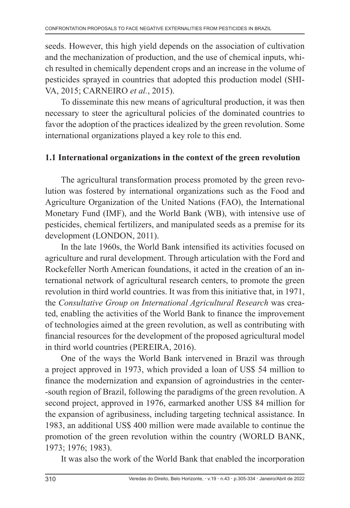seeds. However, this high yield depends on the association of cultivation and the mechanization of production, and the use of chemical inputs, which resulted in chemically dependent crops and an increase in the volume of pesticides sprayed in countries that adopted this production model (SHI-VA, 2015; CARNEIRO *et al.*, 2015).

To disseminate this new means of agricultural production, it was then necessary to steer the agricultural policies of the dominated countries to favor the adoption of the practices idealized by the green revolution. Some international organizations played a key role to this end.

#### **1.1 International organizations in the context of the green revolution**

The agricultural transformation process promoted by the green revolution was fostered by international organizations such as the Food and Agriculture Organization of the United Nations (FAO), the International Monetary Fund (IMF), and the World Bank (WB), with intensive use of pesticides, chemical fertilizers, and manipulated seeds as a premise for its development (LONDON, 2011).

In the late 1960s, the World Bank intensified its activities focused on agriculture and rural development. Through articulation with the Ford and Rockefeller North American foundations, it acted in the creation of an international network of agricultural research centers, to promote the green revolution in third world countries. It was from this initiative that, in 1971, the *Consultative Group on International Agricultural Research* was created, enabling the activities of the World Bank to finance the improvement of technologies aimed at the green revolution, as well as contributing with financial resources for the development of the proposed agricultural model in third world countries (PEREIRA, 2016).

One of the ways the World Bank intervened in Brazil was through a project approved in 1973, which provided a loan of US\$ 54 million to finance the modernization and expansion of agroindustries in the center- -south region of Brazil, following the paradigms of the green revolution. A second project, approved in 1976, earmarked another US\$ 84 million for the expansion of agribusiness, including targeting technical assistance. In 1983, an additional US\$ 400 million were made available to continue the promotion of the green revolution within the country (WORLD BANK, 1973; 1976; 1983).

It was also the work of the World Bank that enabled the incorporation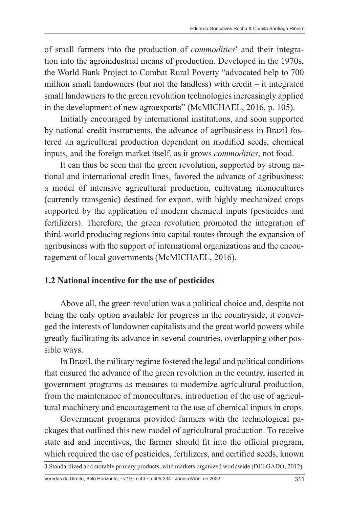of small farmers into the production of *commodities*<sup>3</sup> and their integration into the agroindustrial means of production. Developed in the 1970s, the World Bank Project to Combat Rural Poverty "advocated help to 700 million small landowners (but not the landless) with credit – it integrated small landowners to the green revolution technologies increasingly applied in the development of new agroexports" (McMICHAEL, 2016, p. 105).

Initially encouraged by international institutions, and soon supported by national credit instruments, the advance of agribusiness in Brazil fostered an agricultural production dependent on modified seeds, chemical inputs, and the foreign market itself, as it grows *commodities*, not food.

It can thus be seen that the green revolution, supported by strong national and international credit lines, favored the advance of agribusiness: a model of intensive agricultural production, cultivating monocultures (currently transgenic) destined for export, with highly mechanized crops supported by the application of modern chemical inputs (pesticides and fertilizers). Therefore, the green revolution promoted the integration of third-world producing regions into capital routes through the expansion of agribusiness with the support of international organizations and the encouragement of local governments (McMICHAEL, 2016).

#### **1.2 National incentive for the use of pesticides**

Above all, the green revolution was a political choice and, despite not being the only option available for progress in the countryside, it converged the interests of landowner capitalists and the great world powers while greatly facilitating its advance in several countries, overlapping other possible ways.

In Brazil, the military regime fostered the legal and political conditions that ensured the advance of the green revolution in the country, inserted in government programs as measures to modernize agricultural production, from the maintenance of monocultures, introduction of the use of agricultural machinery and encouragement to the use of chemical inputs in crops.

Government programs provided farmers with the technological packages that outlined this new model of agricultural production. To receive state aid and incentives, the farmer should fit into the official program, which required the use of pesticides, fertilizers, and certified seeds, known 3 Standardized and storable primary products, with markets organized worldwide (DELGADO, 2012).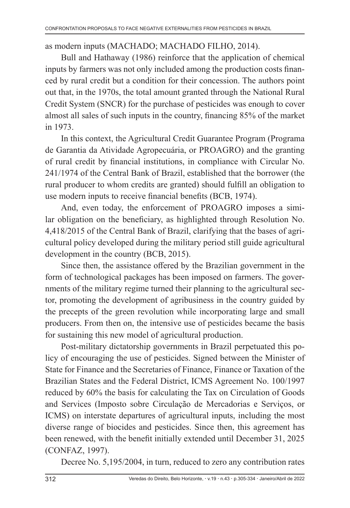#### as modern inputs (MACHADO; MACHADO FILHO, 2014).

Bull and Hathaway (1986) reinforce that the application of chemical inputs by farmers was not only included among the production costs financed by rural credit but a condition for their concession. The authors point out that, in the 1970s, the total amount granted through the National Rural Credit System (SNCR) for the purchase of pesticides was enough to cover almost all sales of such inputs in the country, financing 85% of the market in 1973.

In this context, the Agricultural Credit Guarantee Program (Programa de Garantia da Atividade Agropecuária, or PROAGRO) and the granting of rural credit by financial institutions, in compliance with Circular No. 241/1974 of the Central Bank of Brazil, established that the borrower (the rural producer to whom credits are granted) should fulfill an obligation to use modern inputs to receive financial benefits (BCB, 1974).

And, even today, the enforcement of PROAGRO imposes a similar obligation on the beneficiary, as highlighted through Resolution No. 4,418/2015 of the Central Bank of Brazil, clarifying that the bases of agricultural policy developed during the military period still guide agricultural development in the country (BCB, 2015).

Since then, the assistance offered by the Brazilian government in the form of technological packages has been imposed on farmers. The governments of the military regime turned their planning to the agricultural sector, promoting the development of agribusiness in the country guided by the precepts of the green revolution while incorporating large and small producers. From then on, the intensive use of pesticides became the basis for sustaining this new model of agricultural production.

Post-military dictatorship governments in Brazil perpetuated this policy of encouraging the use of pesticides. Signed between the Minister of State for Finance and the Secretaries of Finance, Finance or Taxation of the Brazilian States and the Federal District, ICMS Agreement No. 100/1997 reduced by 60% the basis for calculating the Tax on Circulation of Goods and Services (Imposto sobre Circulação de Mercadorias e Serviços, or ICMS) on interstate departures of agricultural inputs, including the most diverse range of biocides and pesticides. Since then, this agreement has been renewed, with the benefit initially extended until December 31, 2025 (CONFAZ, 1997).

Decree No. 5,195/2004, in turn, reduced to zero any contribution rates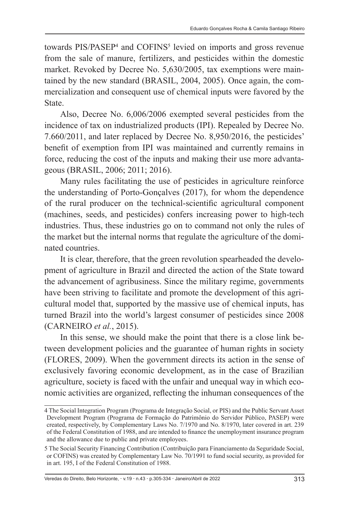towards PIS/PASEP<sup>4</sup> and COFINS<sup>5</sup> levied on imports and gross revenue from the sale of manure, fertilizers, and pesticides within the domestic market. Revoked by Decree No. 5,630/2005, tax exemptions were maintained by the new standard (BRASIL, 2004, 2005). Once again, the commercialization and consequent use of chemical inputs were favored by the State.

Also, Decree No. 6,006/2006 exempted several pesticides from the incidence of tax on industrialized products (IPI). Repealed by Decree No. 7.660/2011, and later replaced by Decree No. 8,950/2016, the pesticides' benefit of exemption from IPI was maintained and currently remains in force, reducing the cost of the inputs and making their use more advantageous (BRASIL, 2006; 2011; 2016).

Many rules facilitating the use of pesticides in agriculture reinforce the understanding of Porto-Gonçalves (2017), for whom the dependence of the rural producer on the technical-scientific agricultural component (machines, seeds, and pesticides) confers increasing power to high-tech industries. Thus, these industries go on to command not only the rules of the market but the internal norms that regulate the agriculture of the dominated countries.

It is clear, therefore, that the green revolution spearheaded the development of agriculture in Brazil and directed the action of the State toward the advancement of agribusiness. Since the military regime, governments have been striving to facilitate and promote the development of this agricultural model that, supported by the massive use of chemical inputs, has turned Brazil into the world's largest consumer of pesticides since 2008 (CARNEIRO *et al.*, 2015).

In this sense, we should make the point that there is a close link between development policies and the guarantee of human rights in society (FLORES, 2009). When the government directs its action in the sense of exclusively favoring economic development, as in the case of Brazilian agriculture, society is faced with the unfair and unequal way in which economic activities are organized, reflecting the inhuman consequences of the

<sup>4</sup> The Social Integration Program (Programa de Integração Social, or PIS) and the Public Servant Asset Development Program (Programa de Formação do Patrimônio do Servidor Público, PASEP) were created, respectively, by Complementary Laws No. 7/1970 and No. 8/1970, later covered in art. 239 of the Federal Constitution of 1988, and are intended to finance the unemployment insurance program and the allowance due to public and private employees.

<sup>5</sup> The Social Security Financing Contribution (Contribuição para Financiamento da Seguridade Social, or COFINS) was created by Complementary Law No. 70/1991 to fund social security, as provided for in art. 195, I of the Federal Constitution of 1988.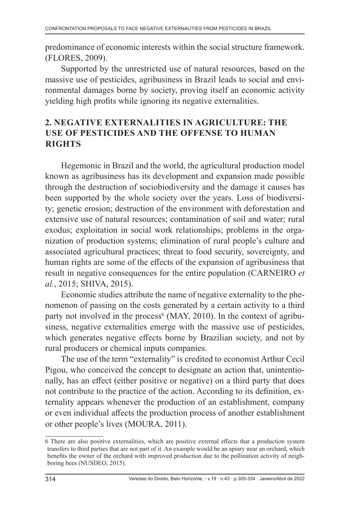predominance of economic interests within the social structure framework. (FLORES, 2009).

Supported by the unrestricted use of natural resources, based on the massive use of pesticides, agribusiness in Brazil leads to social and environmental damages borne by society, proving itself an economic activity yielding high profits while ignoring its negative externalities.

### **2. NEGATIVE EXTERNALITIES IN AGRICULTURE: THE USE OF PESTICIDES AND THE OFFENSE TO HUMAN RIGHTS**

Hegemonic in Brazil and the world, the agricultural production model known as agribusiness has its development and expansion made possible through the destruction of sociobiodiversity and the damage it causes has been supported by the whole society over the years. Loss of biodiversity; genetic erosion; destruction of the environment with deforestation and extensive use of natural resources; contamination of soil and water; rural exodus; exploitation in social work relationships; problems in the organization of production systems; elimination of rural people's culture and associated agricultural practices; threat to food security, sovereignty, and human rights are some of the effects of the expansion of agribusiness that result in negative consequences for the entire population (CARNEIRO *et al.*, 2015; SHIVA, 2015).

Economic studies attribute the name of negative externality to the phenomenon of passing on the costs generated by a certain activity to a third party not involved in the process<sup>6</sup> (MAY, 2010). In the context of agribusiness, negative externalities emerge with the massive use of pesticides, which generates negative effects borne by Brazilian society, and not by rural producers or chemical inputs companies.

The use of the term "externality" is credited to economist Arthur Cecil Pigou, who conceived the concept to designate an action that, unintentionally, has an effect (either positive or negative) on a third party that does not contribute to the practice of the action. According to its definition, externality appears whenever the production of an establishment, company or even individual affects the production process of another establishment or other people's lives (MOURA, 2011).

<sup>6</sup> There are also positive externalities, which are positive external effects that a production system transfers to third parties that are not part of it. An example would be an apiary near an orchard, which benefits the owner of the orchard with improved production due to the pollination activity of neighboring bees (NUSDEO, 2015).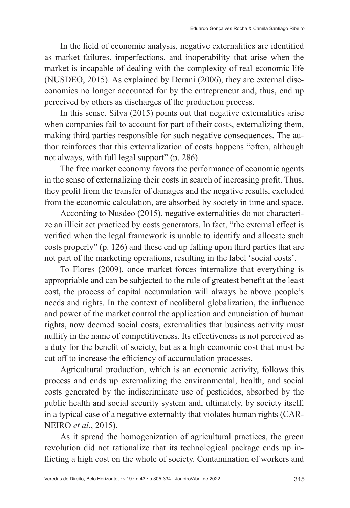In the field of economic analysis, negative externalities are identified as market failures, imperfections, and inoperability that arise when the market is incapable of dealing with the complexity of real economic life (NUSDEO, 2015). As explained by Derani (2006), they are external diseconomies no longer accounted for by the entrepreneur and, thus, end up perceived by others as discharges of the production process.

In this sense, Silva (2015) points out that negative externalities arise when companies fail to account for part of their costs, externalizing them, making third parties responsible for such negative consequences. The author reinforces that this externalization of costs happens "often, although not always, with full legal support" (p. 286).

The free market economy favors the performance of economic agents in the sense of externalizing their costs in search of increasing profit. Thus, they profit from the transfer of damages and the negative results, excluded from the economic calculation, are absorbed by society in time and space.

According to Nusdeo (2015), negative externalities do not characterize an illicit act practiced by costs generators. In fact, "the external effect is verified when the legal framework is unable to identify and allocate such costs properly" (p. 126) and these end up falling upon third parties that are not part of the marketing operations, resulting in the label 'social costs'.

To Flores (2009), once market forces internalize that everything is appropriable and can be subjected to the rule of greatest benefit at the least cost, the process of capital accumulation will always be above people's needs and rights. In the context of neoliberal globalization, the influence and power of the market control the application and enunciation of human rights, now deemed social costs, externalities that business activity must nullify in the name of competitiveness. Its effectiveness is not perceived as a duty for the benefit of society, but as a high economic cost that must be cut off to increase the efficiency of accumulation processes.

Agricultural production, which is an economic activity, follows this process and ends up externalizing the environmental, health, and social costs generated by the indiscriminate use of pesticides, absorbed by the public health and social security system and, ultimately, by society itself, in a typical case of a negative externality that violates human rights (CAR-NEIRO *et al.*, 2015).

As it spread the homogenization of agricultural practices, the green revolution did not rationalize that its technological package ends up inflicting a high cost on the whole of society. Contamination of workers and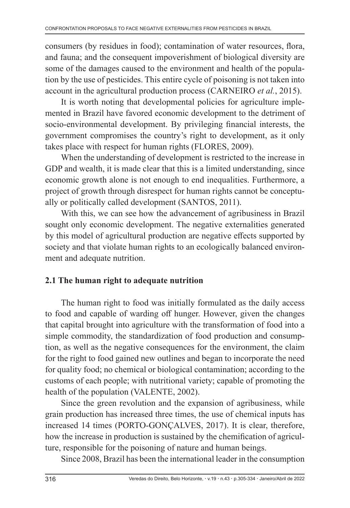consumers (by residues in food); contamination of water resources, flora, and fauna; and the consequent impoverishment of biological diversity are some of the damages caused to the environment and health of the population by the use of pesticides. This entire cycle of poisoning is not taken into account in the agricultural production process (CARNEIRO *et al.*, 2015).

It is worth noting that developmental policies for agriculture implemented in Brazil have favored economic development to the detriment of socio-environmental development. By privileging financial interests, the government compromises the country's right to development, as it only takes place with respect for human rights (FLORES, 2009).

When the understanding of development is restricted to the increase in GDP and wealth, it is made clear that this is a limited understanding, since economic growth alone is not enough to end inequalities. Furthermore, a project of growth through disrespect for human rights cannot be conceptually or politically called development (SANTOS, 2011).

With this, we can see how the advancement of agribusiness in Brazil sought only economic development. The negative externalities generated by this model of agricultural production are negative effects supported by society and that violate human rights to an ecologically balanced environment and adequate nutrition.

### **2.1 The human right to adequate nutrition**

The human right to food was initially formulated as the daily access to food and capable of warding off hunger. However, given the changes that capital brought into agriculture with the transformation of food into a simple commodity, the standardization of food production and consumption, as well as the negative consequences for the environment, the claim for the right to food gained new outlines and began to incorporate the need for quality food; no chemical or biological contamination; according to the customs of each people; with nutritional variety; capable of promoting the health of the population (VALENTE, 2002).

Since the green revolution and the expansion of agribusiness, while grain production has increased three times, the use of chemical inputs has increased 14 times (PORTO-GONÇALVES, 2017). It is clear, therefore, how the increase in production is sustained by the chemification of agriculture, responsible for the poisoning of nature and human beings.

Since 2008, Brazil has been the international leader in the consumption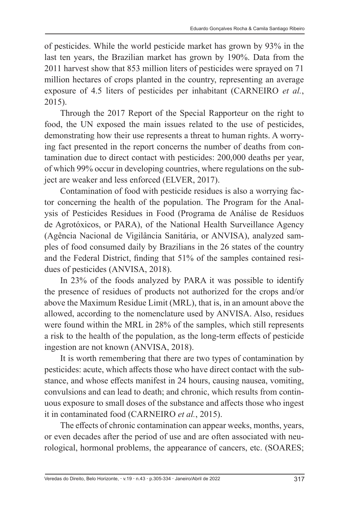of pesticides. While the world pesticide market has grown by 93% in the last ten years, the Brazilian market has grown by 190%. Data from the 2011 harvest show that 853 million liters of pesticides were sprayed on 71 million hectares of crops planted in the country, representing an average exposure of 4.5 liters of pesticides per inhabitant (CARNEIRO *et al.*, 2015).

Through the 2017 Report of the Special Rapporteur on the right to food, the UN exposed the main issues related to the use of pesticides, demonstrating how their use represents a threat to human rights. A worrying fact presented in the report concerns the number of deaths from contamination due to direct contact with pesticides: 200,000 deaths per year, of which 99% occur in developing countries, where regulations on the subject are weaker and less enforced (ELVER, 2017).

Contamination of food with pesticide residues is also a worrying factor concerning the health of the population. The Program for the Analysis of Pesticides Residues in Food (Programa de Análise de Resíduos de Agrotóxicos, or PARA), of the National Health Surveillance Agency (Agência Nacional de Vigilância Sanitária, or ANVISA), analyzed samples of food consumed daily by Brazilians in the 26 states of the country and the Federal District, finding that 51% of the samples contained residues of pesticides (ANVISA, 2018).

In 23% of the foods analyzed by PARA it was possible to identify the presence of residues of products not authorized for the crops and/or above the Maximum Residue Limit (MRL), that is, in an amount above the allowed, according to the nomenclature used by ANVISA. Also, residues were found within the MRL in 28% of the samples, which still represents a risk to the health of the population, as the long-term effects of pesticide ingestion are not known (ANVISA, 2018).

It is worth remembering that there are two types of contamination by pesticides: acute, which affects those who have direct contact with the substance, and whose effects manifest in 24 hours, causing nausea, vomiting, convulsions and can lead to death; and chronic, which results from continuous exposure to small doses of the substance and affects those who ingest it in contaminated food (CARNEIRO *et al.*, 2015).

The effects of chronic contamination can appear weeks, months, years, or even decades after the period of use and are often associated with neurological, hormonal problems, the appearance of cancers, etc. (SOARES;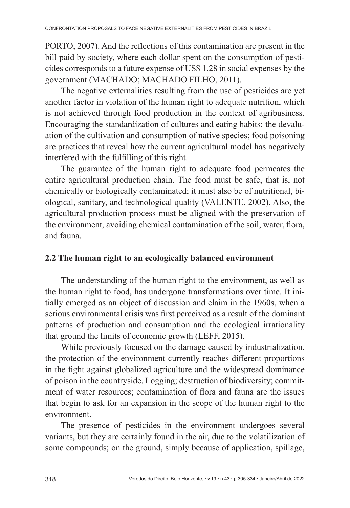PORTO, 2007). And the reflections of this contamination are present in the bill paid by society, where each dollar spent on the consumption of pesticides corresponds to a future expense of US\$ 1.28 in social expenses by the government (MACHADO; MACHADO FILHO, 2011).

The negative externalities resulting from the use of pesticides are yet another factor in violation of the human right to adequate nutrition, which is not achieved through food production in the context of agribusiness. Encouraging the standardization of cultures and eating habits; the devaluation of the cultivation and consumption of native species; food poisoning are practices that reveal how the current agricultural model has negatively interfered with the fulfilling of this right.

The guarantee of the human right to adequate food permeates the entire agricultural production chain. The food must be safe, that is, not chemically or biologically contaminated; it must also be of nutritional, biological, sanitary, and technological quality (VALENTE, 2002). Also, the agricultural production process must be aligned with the preservation of the environment, avoiding chemical contamination of the soil, water, flora, and fauna.

### **2.2 The human right to an ecologically balanced environment**

The understanding of the human right to the environment, as well as the human right to food, has undergone transformations over time. It initially emerged as an object of discussion and claim in the 1960s, when a serious environmental crisis was first perceived as a result of the dominant patterns of production and consumption and the ecological irrationality that ground the limits of economic growth (LEFF, 2015).

While previously focused on the damage caused by industrialization, the protection of the environment currently reaches different proportions in the fight against globalized agriculture and the widespread dominance of poison in the countryside. Logging; destruction of biodiversity; commitment of water resources; contamination of flora and fauna are the issues that begin to ask for an expansion in the scope of the human right to the environment.

The presence of pesticides in the environment undergoes several variants, but they are certainly found in the air, due to the volatilization of some compounds; on the ground, simply because of application, spillage,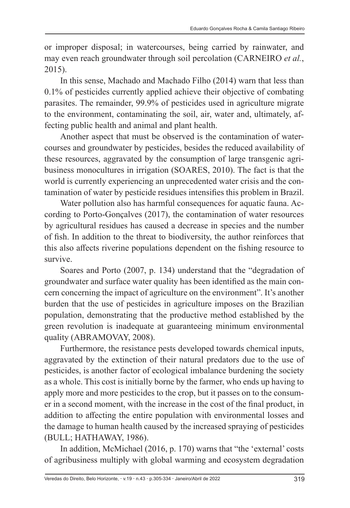or improper disposal; in watercourses, being carried by rainwater, and may even reach groundwater through soil percolation (CARNEIRO *et al.*, 2015).

In this sense, Machado and Machado Filho (2014) warn that less than 0.1% of pesticides currently applied achieve their objective of combating parasites. The remainder, 99.9% of pesticides used in agriculture migrate to the environment, contaminating the soil, air, water and, ultimately, affecting public health and animal and plant health.

Another aspect that must be observed is the contamination of watercourses and groundwater by pesticides, besides the reduced availability of these resources, aggravated by the consumption of large transgenic agribusiness monocultures in irrigation (SOARES, 2010). The fact is that the world is currently experiencing an unprecedented water crisis and the contamination of water by pesticide residues intensifies this problem in Brazil.

Water pollution also has harmful consequences for aquatic fauna. According to Porto-Gonçalves (2017), the contamination of water resources by agricultural residues has caused a decrease in species and the number of fish. In addition to the threat to biodiversity, the author reinforces that this also affects riverine populations dependent on the fishing resource to survive.

Soares and Porto (2007, p. 134) understand that the "degradation of groundwater and surface water quality has been identified as the main concern concerning the impact of agriculture on the environment". It's another burden that the use of pesticides in agriculture imposes on the Brazilian population, demonstrating that the productive method established by the green revolution is inadequate at guaranteeing minimum environmental quality (ABRAMOVAY, 2008).

Furthermore, the resistance pests developed towards chemical inputs, aggravated by the extinction of their natural predators due to the use of pesticides, is another factor of ecological imbalance burdening the society as a whole. This cost is initially borne by the farmer, who ends up having to apply more and more pesticides to the crop, but it passes on to the consumer in a second moment, with the increase in the cost of the final product, in addition to affecting the entire population with environmental losses and the damage to human health caused by the increased spraying of pesticides (BULL; HATHAWAY, 1986).

In addition, McMichael (2016, p. 170) warns that "the 'external' costs of agribusiness multiply with global warming and ecosystem degradation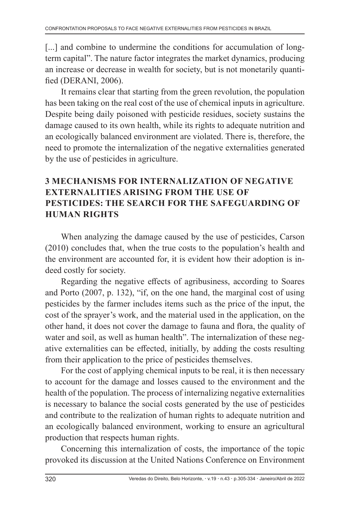[...] and combine to undermine the conditions for accumulation of longterm capital". The nature factor integrates the market dynamics, producing an increase or decrease in wealth for society, but is not monetarily quantified (DERANI, 2006).

It remains clear that starting from the green revolution, the population has been taking on the real cost of the use of chemical inputs in agriculture. Despite being daily poisoned with pesticide residues, society sustains the damage caused to its own health, while its rights to adequate nutrition and an ecologically balanced environment are violated. There is, therefore, the need to promote the internalization of the negative externalities generated by the use of pesticides in agriculture.

## **3 MECHANISMS FOR INTERNALIZATION OF NEGATIVE EXTERNALITIES ARISING FROM THE USE OF PESTICIDES: THE SEARCH FOR THE SAFEGUARDING OF HUMAN RIGHTS**

When analyzing the damage caused by the use of pesticides, Carson (2010) concludes that, when the true costs to the population's health and the environment are accounted for, it is evident how their adoption is indeed costly for society.

Regarding the negative effects of agribusiness, according to Soares and Porto (2007, p. 132), "if, on the one hand, the marginal cost of using pesticides by the farmer includes items such as the price of the input, the cost of the sprayer's work, and the material used in the application, on the other hand, it does not cover the damage to fauna and flora, the quality of water and soil, as well as human health". The internalization of these negative externalities can be effected, initially, by adding the costs resulting from their application to the price of pesticides themselves.

For the cost of applying chemical inputs to be real, it is then necessary to account for the damage and losses caused to the environment and the health of the population. The process of internalizing negative externalities is necessary to balance the social costs generated by the use of pesticides and contribute to the realization of human rights to adequate nutrition and an ecologically balanced environment, working to ensure an agricultural production that respects human rights.

Concerning this internalization of costs, the importance of the topic provoked its discussion at the United Nations Conference on Environment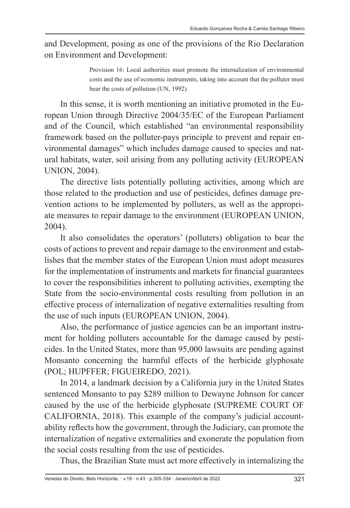and Development, posing as one of the provisions of the Rio Declaration on Environment and Development:

> Provision 16: Local authorities must promote the internalization of environmental costs and the use of economic instruments, taking into account that the polluter must bear the costs of pollution (UN, 1992).

In this sense, it is worth mentioning an initiative promoted in the European Union through Directive 2004/35/EC of the European Parliament and of the Council, which established "an environmental responsibility framework based on the polluter-pays principle to prevent and repair environmental damages" which includes damage caused to species and natural habitats, water, soil arising from any polluting activity (EUROPEAN UNION, 2004).

The directive lists potentially polluting activities, among which are those related to the production and use of pesticides, defines damage prevention actions to be implemented by polluters, as well as the appropriate measures to repair damage to the environment (EUROPEAN UNION, 2004).

It also consolidates the operators' (polluters) obligation to bear the costs of actions to prevent and repair damage to the environment and establishes that the member states of the European Union must adopt measures for the implementation of instruments and markets for financial guarantees to cover the responsibilities inherent to polluting activities, exempting the State from the socio-environmental costs resulting from pollution in an effective process of internalization of negative externalities resulting from the use of such inputs (EUROPEAN UNION, 2004).

Also, the performance of justice agencies can be an important instrument for holding polluters accountable for the damage caused by pesticides. In the United States, more than 95,000 lawsuits are pending against Monsanto concerning the harmful effects of the herbicide glyphosate (POL; HUPFFER; FIGUEIREDO, 2021).

In 2014, a landmark decision by a California jury in the United States sentenced Monsanto to pay \$289 million to Dewayne Johnson for cancer caused by the use of the herbicide glyphosate (SUPREME COURT OF CALIFORNIA, 2018). This example of the company's judicial accountability reflects how the government, through the Judiciary, can promote the internalization of negative externalities and exonerate the population from the social costs resulting from the use of pesticides.

Thus, the Brazilian State must act more effectively in internalizing the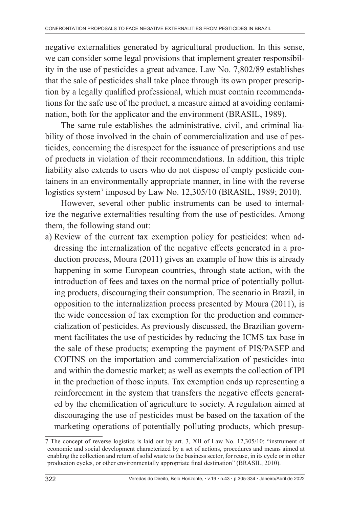negative externalities generated by agricultural production. In this sense, we can consider some legal provisions that implement greater responsibility in the use of pesticides a great advance. Law No. 7,802/89 establishes that the sale of pesticides shall take place through its own proper prescription by a legally qualified professional, which must contain recommendations for the safe use of the product, a measure aimed at avoiding contamination, both for the applicator and the environment (BRASIL, 1989).

The same rule establishes the administrative, civil, and criminal liability of those involved in the chain of commercialization and use of pesticides, concerning the disrespect for the issuance of prescriptions and use of products in violation of their recommendations. In addition, this triple liability also extends to users who do not dispose of empty pesticide containers in an environmentally appropriate manner, in line with the reverse logistics system7 imposed by Law No. 12,305/10 (BRASIL, 1989; 2010).

However, several other public instruments can be used to internalize the negative externalities resulting from the use of pesticides. Among them, the following stand out:

a) Review of the current tax exemption policy for pesticides: when addressing the internalization of the negative effects generated in a production process, Moura (2011) gives an example of how this is already happening in some European countries, through state action, with the introduction of fees and taxes on the normal price of potentially polluting products, discouraging their consumption. The scenario in Brazil, in opposition to the internalization process presented by Moura (2011), is the wide concession of tax exemption for the production and commercialization of pesticides. As previously discussed, the Brazilian government facilitates the use of pesticides by reducing the ICMS tax base in the sale of these products; exempting the payment of PIS/PASEP and COFINS on the importation and commercialization of pesticides into and within the domestic market; as well as exempts the collection of IPI in the production of those inputs. Tax exemption ends up representing a reinforcement in the system that transfers the negative effects generated by the chemification of agriculture to society. A regulation aimed at discouraging the use of pesticides must be based on the taxation of the marketing operations of potentially polluting products, which presup-

<sup>7</sup> The concept of reverse logistics is laid out by art. 3, XII of Law No. 12,305/10: "instrument of economic and social development characterized by a set of actions, procedures and means aimed at enabling the collection and return of solid waste to the business sector, for reuse, in its cycle or in other production cycles, or other environmentally appropriate final destination" (BRASIL, 2010).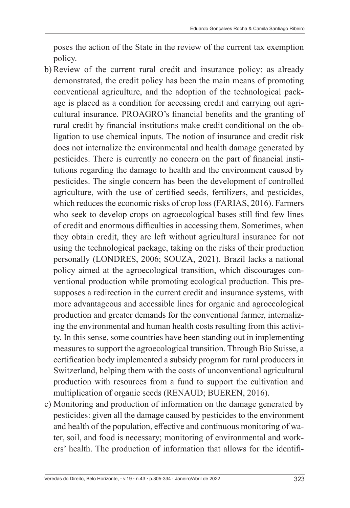poses the action of the State in the review of the current tax exemption policy.

- b) Review of the current rural credit and insurance policy: as already demonstrated, the credit policy has been the main means of promoting conventional agriculture, and the adoption of the technological package is placed as a condition for accessing credit and carrying out agricultural insurance. PROAGRO's financial benefits and the granting of rural credit by financial institutions make credit conditional on the obligation to use chemical inputs. The notion of insurance and credit risk does not internalize the environmental and health damage generated by pesticides. There is currently no concern on the part of financial institutions regarding the damage to health and the environment caused by pesticides. The single concern has been the development of controlled agriculture, with the use of certified seeds, fertilizers, and pesticides, which reduces the economic risks of crop loss (FARIAS, 2016). Farmers who seek to develop crops on agroecological bases still find few lines of credit and enormous difficulties in accessing them. Sometimes, when they obtain credit, they are left without agricultural insurance for not using the technological package, taking on the risks of their production personally (LONDRES, 2006; SOUZA, 2021). Brazil lacks a national policy aimed at the agroecological transition, which discourages conventional production while promoting ecological production. This presupposes a redirection in the current credit and insurance systems, with more advantageous and accessible lines for organic and agroecological production and greater demands for the conventional farmer, internalizing the environmental and human health costs resulting from this activity. In this sense, some countries have been standing out in implementing measures to support the agroecological transition. Through Bio Suisse, a certification body implemented a subsidy program for rural producers in Switzerland, helping them with the costs of unconventional agricultural production with resources from a fund to support the cultivation and multiplication of organic seeds (RENAUD; BUEREN, 2016).
- c) Monitoring and production of information on the damage generated by pesticides: given all the damage caused by pesticides to the environment and health of the population, effective and continuous monitoring of water, soil, and food is necessary; monitoring of environmental and workers' health. The production of information that allows for the identifi-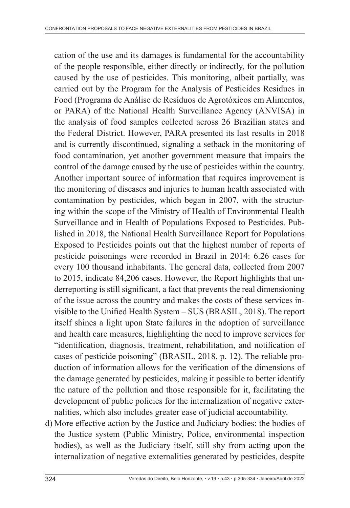cation of the use and its damages is fundamental for the accountability of the people responsible, either directly or indirectly, for the pollution caused by the use of pesticides. This monitoring, albeit partially, was carried out by the Program for the Analysis of Pesticides Residues in Food (Programa de Análise de Resíduos de Agrotóxicos em Alimentos, or PARA) of the National Health Surveillance Agency (ANVISA) in the analysis of food samples collected across 26 Brazilian states and the Federal District. However, PARA presented its last results in 2018 and is currently discontinued, signaling a setback in the monitoring of food contamination, yet another government measure that impairs the control of the damage caused by the use of pesticides within the country. Another important source of information that requires improvement is the monitoring of diseases and injuries to human health associated with contamination by pesticides, which began in 2007, with the structuring within the scope of the Ministry of Health of Environmental Health Surveillance and in Health of Populations Exposed to Pesticides. Published in 2018, the National Health Surveillance Report for Populations Exposed to Pesticides points out that the highest number of reports of pesticide poisonings were recorded in Brazil in 2014: 6.26 cases for every 100 thousand inhabitants. The general data, collected from 2007 to 2015, indicate 84,206 cases. However, the Report highlights that underreporting is still significant, a fact that prevents the real dimensioning of the issue across the country and makes the costs of these services invisible to the Unified Health System – SUS (BRASIL, 2018). The report itself shines a light upon State failures in the adoption of surveillance and health care measures, highlighting the need to improve services for "identification, diagnosis, treatment, rehabilitation, and notification of cases of pesticide poisoning" (BRASIL, 2018, p. 12). The reliable production of information allows for the verification of the dimensions of the damage generated by pesticides, making it possible to better identify the nature of the pollution and those responsible for it, facilitating the development of public policies for the internalization of negative externalities, which also includes greater ease of judicial accountability.

d) More effective action by the Justice and Judiciary bodies: the bodies of the Justice system (Public Ministry, Police, environmental inspection bodies), as well as the Judiciary itself, still shy from acting upon the internalization of negative externalities generated by pesticides, despite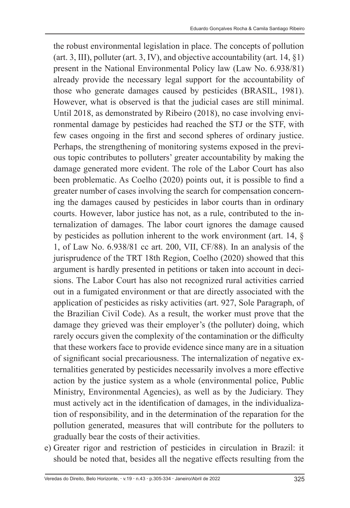the robust environmental legislation in place. The concepts of pollution (art. 3, III), polluter (art. 3, IV), and objective accountability (art.  $14, \S1$ ) present in the National Environmental Policy law (Law No. 6.938/81) already provide the necessary legal support for the accountability of those who generate damages caused by pesticides (BRASIL, 1981). However, what is observed is that the judicial cases are still minimal. Until 2018, as demonstrated by Ribeiro (2018), no case involving environmental damage by pesticides had reached the STJ or the STF, with few cases ongoing in the first and second spheres of ordinary justice. Perhaps, the strengthening of monitoring systems exposed in the previous topic contributes to polluters' greater accountability by making the damage generated more evident. The role of the Labor Court has also been problematic. As Coelho (2020) points out, it is possible to find a greater number of cases involving the search for compensation concerning the damages caused by pesticides in labor courts than in ordinary courts. However, labor justice has not, as a rule, contributed to the internalization of damages. The labor court ignores the damage caused by pesticides as pollution inherent to the work environment (art. 14, § 1, of Law No. 6.938/81 cc art. 200, VII, CF/88). In an analysis of the jurisprudence of the TRT 18th Region, Coelho (2020) showed that this argument is hardly presented in petitions or taken into account in decisions. The Labor Court has also not recognized rural activities carried out in a fumigated environment or that are directly associated with the application of pesticides as risky activities (art. 927, Sole Paragraph, of the Brazilian Civil Code). As a result, the worker must prove that the damage they grieved was their employer's (the polluter) doing, which rarely occurs given the complexity of the contamination or the difficulty that these workers face to provide evidence since many are in a situation of significant social precariousness. The internalization of negative externalities generated by pesticides necessarily involves a more effective action by the justice system as a whole (environmental police, Public Ministry, Environmental Agencies), as well as by the Judiciary. They must actively act in the identification of damages, in the individualization of responsibility, and in the determination of the reparation for the pollution generated, measures that will contribute for the polluters to gradually bear the costs of their activities.

e) Greater rigor and restriction of pesticides in circulation in Brazil: it should be noted that, besides all the negative effects resulting from the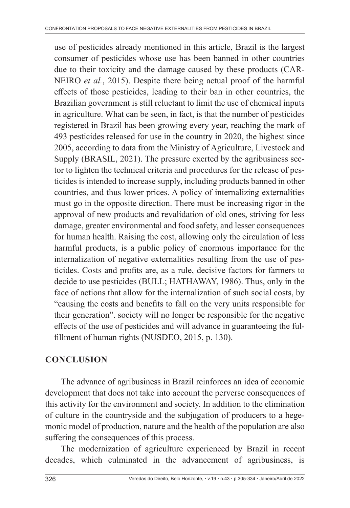use of pesticides already mentioned in this article, Brazil is the largest consumer of pesticides whose use has been banned in other countries due to their toxicity and the damage caused by these products (CAR-NEIRO *et al.*, 2015). Despite there being actual proof of the harmful effects of those pesticides, leading to their ban in other countries, the Brazilian government is still reluctant to limit the use of chemical inputs in agriculture. What can be seen, in fact, is that the number of pesticides registered in Brazil has been growing every year, reaching the mark of 493 pesticides released for use in the country in 2020, the highest since 2005, according to data from the Ministry of Agriculture, Livestock and Supply (BRASIL, 2021). The pressure exerted by the agribusiness sector to lighten the technical criteria and procedures for the release of pesticides is intended to increase supply, including products banned in other countries, and thus lower prices. A policy of internalizing externalities must go in the opposite direction. There must be increasing rigor in the approval of new products and revalidation of old ones, striving for less damage, greater environmental and food safety, and lesser consequences for human health. Raising the cost, allowing only the circulation of less harmful products, is a public policy of enormous importance for the internalization of negative externalities resulting from the use of pesticides. Costs and profits are, as a rule, decisive factors for farmers to decide to use pesticides (BULL; HATHAWAY, 1986). Thus, only in the face of actions that allow for the internalization of such social costs, by "causing the costs and benefits to fall on the very units responsible for their generation". society will no longer be responsible for the negative effects of the use of pesticides and will advance in guaranteeing the fulfillment of human rights (NUSDEO, 2015, p. 130).

# **CONCLUSION**

The advance of agribusiness in Brazil reinforces an idea of economic development that does not take into account the perverse consequences of this activity for the environment and society. In addition to the elimination of culture in the countryside and the subjugation of producers to a hegemonic model of production, nature and the health of the population are also suffering the consequences of this process.

The modernization of agriculture experienced by Brazil in recent decades, which culminated in the advancement of agribusiness, is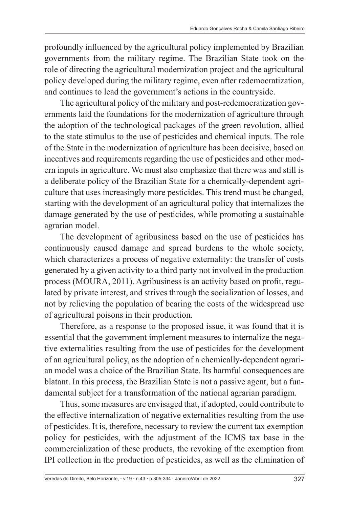profoundly influenced by the agricultural policy implemented by Brazilian governments from the military regime. The Brazilian State took on the role of directing the agricultural modernization project and the agricultural policy developed during the military regime, even after redemocratization, and continues to lead the government's actions in the countryside.

The agricultural policy of the military and post-redemocratization governments laid the foundations for the modernization of agriculture through the adoption of the technological packages of the green revolution, allied to the state stimulus to the use of pesticides and chemical inputs. The role of the State in the modernization of agriculture has been decisive, based on incentives and requirements regarding the use of pesticides and other modern inputs in agriculture. We must also emphasize that there was and still is a deliberate policy of the Brazilian State for a chemically-dependent agriculture that uses increasingly more pesticides. This trend must be changed, starting with the development of an agricultural policy that internalizes the damage generated by the use of pesticides, while promoting a sustainable agrarian model.

The development of agribusiness based on the use of pesticides has continuously caused damage and spread burdens to the whole society, which characterizes a process of negative externality: the transfer of costs generated by a given activity to a third party not involved in the production process (MOURA, 2011). Agribusiness is an activity based on profit, regulated by private interest, and strives through the socialization of losses, and not by relieving the population of bearing the costs of the widespread use of agricultural poisons in their production.

Therefore, as a response to the proposed issue, it was found that it is essential that the government implement measures to internalize the negative externalities resulting from the use of pesticides for the development of an agricultural policy, as the adoption of a chemically-dependent agrarian model was a choice of the Brazilian State. Its harmful consequences are blatant. In this process, the Brazilian State is not a passive agent, but a fundamental subject for a transformation of the national agrarian paradigm.

Thus, some measures are envisaged that, if adopted, could contribute to the effective internalization of negative externalities resulting from the use of pesticides. It is, therefore, necessary to review the current tax exemption policy for pesticides, with the adjustment of the ICMS tax base in the commercialization of these products, the revoking of the exemption from IPI collection in the production of pesticides, as well as the elimination of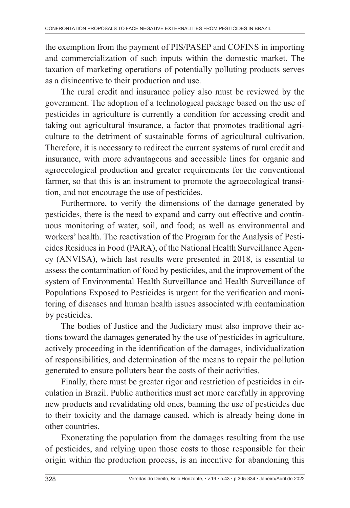the exemption from the payment of PIS/PASEP and COFINS in importing and commercialization of such inputs within the domestic market. The taxation of marketing operations of potentially polluting products serves as a disincentive to their production and use.

The rural credit and insurance policy also must be reviewed by the government. The adoption of a technological package based on the use of pesticides in agriculture is currently a condition for accessing credit and taking out agricultural insurance, a factor that promotes traditional agriculture to the detriment of sustainable forms of agricultural cultivation. Therefore, it is necessary to redirect the current systems of rural credit and insurance, with more advantageous and accessible lines for organic and agroecological production and greater requirements for the conventional farmer, so that this is an instrument to promote the agroecological transition, and not encourage the use of pesticides.

Furthermore, to verify the dimensions of the damage generated by pesticides, there is the need to expand and carry out effective and continuous monitoring of water, soil, and food; as well as environmental and workers' health. The reactivation of the Program for the Analysis of Pesticides Residues in Food (PARA), of the National Health Surveillance Agency (ANVISA), which last results were presented in 2018, is essential to assess the contamination of food by pesticides, and the improvement of the system of Environmental Health Surveillance and Health Surveillance of Populations Exposed to Pesticides is urgent for the verification and monitoring of diseases and human health issues associated with contamination by pesticides.

The bodies of Justice and the Judiciary must also improve their actions toward the damages generated by the use of pesticides in agriculture, actively proceeding in the identification of the damages, individualization of responsibilities, and determination of the means to repair the pollution generated to ensure polluters bear the costs of their activities.

Finally, there must be greater rigor and restriction of pesticides in circulation in Brazil. Public authorities must act more carefully in approving new products and revalidating old ones, banning the use of pesticides due to their toxicity and the damage caused, which is already being done in other countries.

Exonerating the population from the damages resulting from the use of pesticides, and relying upon those costs to those responsible for their origin within the production process, is an incentive for abandoning this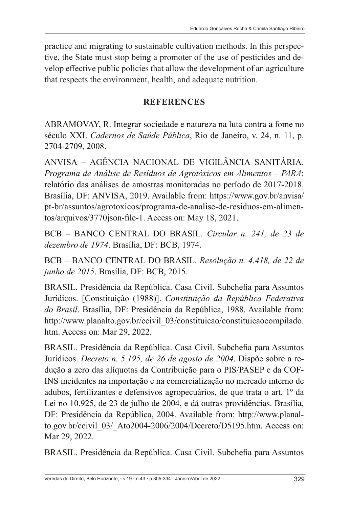practice and migrating to sustainable cultivation methods. In this perspective, the State must stop being a promoter of the use of pesticides and develop effective public policies that allow the development of an agriculture that respects the environment, health, and adequate nutrition.

#### **REFERENCES**

ABRAMOVAY, R. Integrar sociedade e natureza na luta contra a fome no século XXI. *Cadernos de Saúde Pública*, Rio de Janeiro, v. 24, n. 11, p. 2704-2709, 2008.

ANVISA – AGÊNCIA NACIONAL DE VIGILÂNCIA SANITÁRIA. *Programa de Análise de Resíduos de Agrotóxicos em Alimentos – PARA*: relatório das análises de amostras monitoradas no período de 2017-2018. Brasília, DF: ANVISA, 2019. Available from: https://www.gov.br/anvisa/ pt-br/assuntos/agrotoxicos/programa-de-analise-de-residuos-em-alimentos/arquivos/3770json-file-1. Access on: May 18, 2021.

BCB – BANCO CENTRAL DO BRASIL. *Circular n. 241, de 23 de dezembro de 1974*. Brasília, DF: BCB, 1974.

BCB – BANCO CENTRAL DO BRASIL. *Resolução n. 4.418, de 22 de junho de 2015*. Brasília, DF: BCB, 2015.

BRASIL. Presidência da República. Casa Civil. Subchefia para Assuntos Jurídicos. [Constituição (1988)]. *Constituição da República Federativa do Brasil*. Brasília, DF: Presidência da República, 1988. Available from: http://www.planalto.gov.br/ccivil\_03/constituicao/constituicaocompilado. htm. Access on: Mar 29, 2022.

BRASIL. Presidência da República. Casa Civil. Subchefia para Assuntos Jurídicos. *Decreto n. 5.195, de 26 de agosto de 2004*. Dispõe sobre a redução a zero das alíquotas da Contribuição para o PIS/PASEP e da COF-INS incidentes na importação e na comercialização no mercado interno de adubos, fertilizantes e defensivos agropecuários, de que trata o art. 1º da Lei no 10.925, de 23 de julho de 2004, e dá outras providências. Brasília, DF: Presidência da República, 2004. Available from: http://www.planalto.gov.br/ccivil\_03/\_Ato2004-2006/2004/Decreto/D5195.htm. Access on: Mar 29, 2022.

BRASIL. Presidência da República. Casa Civil. Subchefia para Assuntos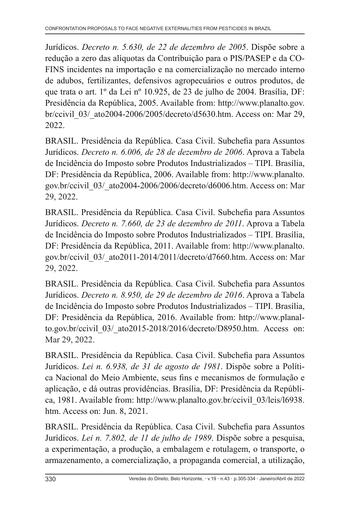Jurídicos. *Decreto n. 5.630, de 22 de dezembro de 2005*. Dispõe sobre a redução a zero das alíquotas da Contribuição para o PIS/PASEP e da CO-FINS incidentes na importação e na comercialização no mercado interno de adubos, fertilizantes, defensivos agropecuários e outros produtos, de que trata o art. 1º da Lei nº 10.925, de 23 de julho de 2004. Brasília, DF: Presidência da República, 2005. Available from: http://www.planalto.gov. br/ccivil\_03/\_ato2004-2006/2005/decreto/d5630.htm. Access on: Mar 29, 2022.

BRASIL. Presidência da República. Casa Civil. Subchefia para Assuntos Jurídicos. *Decreto n. 6.006, de 28 de dezembro de 2006*. Aprova a Tabela de Incidência do Imposto sobre Produtos Industrializados – TIPI. Brasília, DF: Presidência da República, 2006. Available from: http://www.planalto. gov.br/ccivil\_03/\_ato2004-2006/2006/decreto/d6006.htm. Access on: Mar 29, 2022.

BRASIL. Presidência da República. Casa Civil. Subchefia para Assuntos Jurídicos. *Decreto n. 7.660, de 23 de dezembro de 2011*. Aprova a Tabela de Incidência do Imposto sobre Produtos Industrializados – TIPI. Brasília, DF: Presidência da República, 2011. Available from: http://www.planalto. gov.br/ccivil\_03/\_ato2011-2014/2011/decreto/d7660.htm. Access on: Mar 29, 2022.

BRASIL. Presidência da República. Casa Civil. Subchefia para Assuntos Jurídicos. *Decreto n. 8.950, de 29 de dezembro de 2016*. Aprova a Tabela de Incidência do Imposto sobre Produtos Industrializados – TIPI. Brasília, DF: Presidência da República, 2016. Available from: http://www.planalto.gov.br/ccivil\_03/\_ato2015-2018/2016/decreto/D8950.htm. Access on: Mar 29, 2022.

BRASIL. Presidência da República. Casa Civil. Subchefia para Assuntos Jurídicos. *Lei n. 6.938, de 31 de agosto de 1981*. Dispõe sobre a Política Nacional do Meio Ambiente, seus fins e mecanismos de formulação e aplicação, e dá outras providências. Brasília, DF: Presidência da República, 1981. Available from: http://www.planalto.gov.br/ccivil\_03/leis/l6938. htm. Access on: Jun. 8, 2021.

BRASIL. Presidência da República. Casa Civil. Subchefia para Assuntos Jurídicos. *Lei n. 7.802, de 11 de julho de 1989*. Dispõe sobre a pesquisa, a experimentação, a produção, a embalagem e rotulagem, o transporte, o armazenamento, a comercialização, a propaganda comercial, a utilização,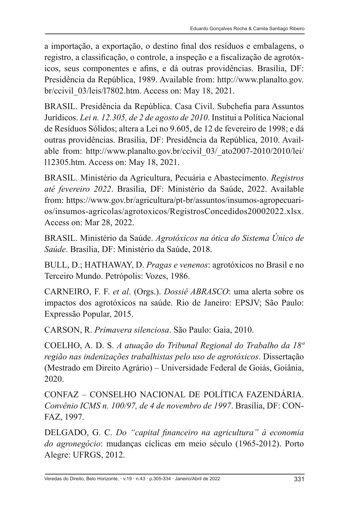a importação, a exportação, o destino final dos resíduos e embalagens, o registro, a classificação, o controle, a inspeção e a fiscalização de agrotóxicos, seus componentes e afins, e dá outras providências. Brasília, DF: Presidência da República, 1989. Available from: http://www.planalto.gov. br/ccivil\_03/leis/l7802.htm. Access on: May 18, 2021.

BRASIL. Presidência da República. Casa Civil. Subchefia para Assuntos Jurídicos. *Lei n. 12.305, de 2 de agosto de 2010*. Institui a Política Nacional de Resíduos Sólidos; altera a Lei no 9.605, de 12 de fevereiro de 1998; e dá outras providências. Brasília, DF: Presidência da República, 2010. Available from: http://www.planalto.gov.br/ccivil\_03/\_ato2007-2010/2010/lei/ l12305.htm. Access on: May 18, 2021.

BRASIL. Ministério da Agricultura, Pecuária e Abastecimento. *Registros até fevereiro 2022*. Brasília, DF: Ministério da Saúde, 2022. Available from: https://www.gov.br/agricultura/pt-br/assuntos/insumos-agropecuarios/insumos-agricolas/agrotoxicos/RegistrosConcedidos20002022.xlsx. Access on: Mar 28, 2022.

BRASIL. Ministério da Saúde. *Agrotóxicos na ótica do Sistema Único de Saúde*. Brasília, DF: Ministério da Saúde, 2018.

BULL, D.; HATHAWAY, D. *Pragas e venenos*: agrotóxicos no Brasil e no Terceiro Mundo. Petrópolis: Vozes, 1986.

CARNEIRO, F. F. *et al*. (Orgs.). *Dossiê ABRASCO*: uma alerta sobre os impactos dos agrotóxicos na saúde. Rio de Janeiro: EPSJV; São Paulo: Expressão Popular, 2015.

CARSON, R. *Primavera silenciosa*. São Paulo: Gaia, 2010.

COELHO, A. D. S. *A atuação do Tribunal Regional do Trabalho da 18ª região nas indenizações trabalhistas pelo uso de agrotóxicos*. Dissertação (Mestrado em Direito Agrário) – Universidade Federal de Goiás, Goiânia, 2020.

CONFAZ – CONSELHO NACIONAL DE POLÍTICA FAZENDÁRIA. *Convênio ICMS n. 100/97, de 4 de novembro de 1997*. Brasília, DF: CON-FAZ, 1997.

DELGADO, G. C. *Do "capital financeiro na agricultura" à economia do agronegócio*: mudanças cíclicas em meio século (1965-2012). Porto Alegre: UFRGS, 2012.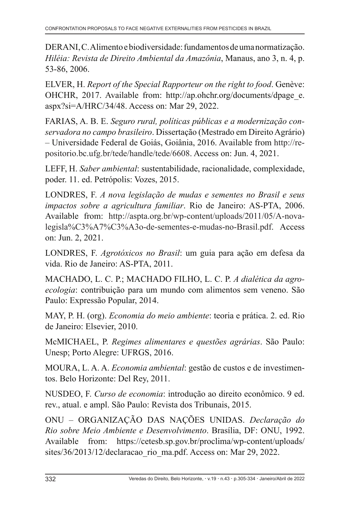DERANI, C. Alimento e biodiversidade: fundamentos de uma normatização. *Hiléia: Revista de Direito Ambiental da Amazônia*, Manaus, ano 3, n. 4, p. 53-86, 2006.

ELVER, H. *Report of the Special Rapporteur on the right to food*. Genève: OHCHR, 2017. Available from: http://ap.ohchr.org/documents/dpage\_e. aspx?si=A/HRC/34/48. Access on: Mar 29, 2022.

FARIAS, A. B. E. *Seguro rural, políticas públicas e a modernização conservadora no campo brasileiro*. Dissertação (Mestrado em Direito Agrário) – Universidade Federal de Goiás, Goiânia, 2016. Available from http://repositorio.bc.ufg.br/tede/handle/tede/6608. Access on: Jun. 4, 2021.

LEFF, H. *Saber ambiental*: sustentabilidade, racionalidade, complexidade, poder. 11. ed. Petrópolis: Vozes, 2015.

LONDRES, F. *A nova legislação de mudas e sementes no Brasil e seus impactos sobre a agricultura familiar*. Rio de Janeiro: AS-PTA, 2006. Available from: http://aspta.org.br/wp-content/uploads/2011/05/A-novalegisla%C3%A7%C3%A3o-de-sementes-e-mudas-no-Brasil.pdf. Access on: Jun. 2, 2021.

LONDRES, F. *Agrotóxicos no Brasil*: um guia para ação em defesa da vida. Rio de Janeiro: AS-PTA, 2011.

MACHADO, L. C. P.; MACHADO FILHO, L. C. P. *A dialética da agroecologia*: contribuição para um mundo com alimentos sem veneno. São Paulo: Expressão Popular, 2014.

MAY, P. H. (org). *Economia do meio ambiente*: teoria e prática. 2. ed. Rio de Janeiro: Elsevier, 2010.

McMICHAEL, P. *Regimes alimentares e questões agrárias*. São Paulo: Unesp; Porto Alegre: UFRGS, 2016.

MOURA, L. A. A. *Economia ambiental*: gestão de custos e de investimentos. Belo Horizonte: Del Rey, 2011.

NUSDEO, F. *Curso de economia*: introdução ao direito econômico. 9 ed. rev., atual. e ampl. São Paulo: Revista dos Tribunais, 2015.

ONU – ORGANIZAÇÃO DAS NAÇÕES UNIDAS. *Declaração do Rio sobre Meio Ambiente e Desenvolvimento*. Brasília, DF: ONU, 1992. Available from: https://cetesb.sp.gov.br/proclima/wp-content/uploads/ sites/36/2013/12/declaracao\_rio\_ma.pdf. Access on: Mar 29, 2022.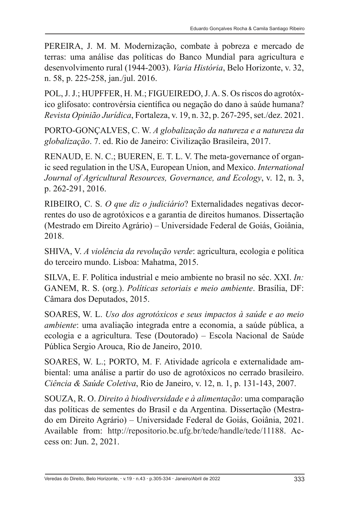PEREIRA, J. M. M. Modernização, combate à pobreza e mercado de terras: uma análise das políticas do Banco Mundial para agricultura e desenvolvimento rural (1944-2003). *Varia História*, Belo Horizonte, v. 32, n. 58, p. 225-258, jan./jul. 2016.

POL, J. J.; HUPFFER, H. M.; FIGUEIREDO, J. A. S. Os riscos do agrotóxico glifosato: controvérsia científica ou negação do dano à saúde humana? *Revista Opinião Jurídica*, Fortaleza, v. 19, n. 32, p. 267-295, set./dez. 2021.

PORTO-GONÇALVES, C. W. *A globalização da natureza e a natureza da globalização*. 7. ed. Rio de Janeiro: Civilização Brasileira, 2017.

RENAUD, E. N. C.; BUEREN, E. T. L. V. The meta-governance of organic seed regulation in the USA, European Union, and Mexico. *International Journal of Agricultural Resources, Governance, and Ecology*, v. 12, n. 3, p. 262-291, 2016.

RIBEIRO, C. S. *O que diz o judiciário*? Externalidades negativas decorrentes do uso de agrotóxicos e a garantia de direitos humanos. Dissertação (Mestrado em Direito Agrário) – Universidade Federal de Goiás, Goiânia, 2018.

SHIVA, V. *A violência da revolução verde*: agricultura, ecologia e política do terceiro mundo. Lisboa: Mahatma, 2015.

SILVA, E. F. Política industrial e meio ambiente no brasil no séc. XXI. *In:* GANEM, R. S. (org.). *Políticas setoriais e meio ambiente*. Brasília, DF: Câmara dos Deputados, 2015.

SOARES, W. L. *Uso dos agrotóxicos e seus impactos à saúde e ao meio ambiente*: uma avaliação integrada entre a economia, a saúde pública, a ecologia e a agricultura. Tese (Doutorado) – Escola Nacional de Saúde Pública Sergio Arouca, Rio de Janeiro, 2010.

SOARES, W. L.; PORTO, M. F. Atividade agrícola e externalidade ambiental: uma análise a partir do uso de agrotóxicos no cerrado brasileiro. *Ciência & Saúde Coletiva*, Rio de Janeiro, v. 12, n. 1, p. 131-143, 2007.

SOUZA, R. O. *Direito à biodiversidade e à alimentação*: uma comparação das políticas de sementes do Brasil e da Argentina. Dissertação (Mestrado em Direito Agrário) – Universidade Federal de Goiás, Goiânia, 2021. Available from: http://repositorio.bc.ufg.br/tede/handle/tede/11188. Access on: Jun. 2, 2021.